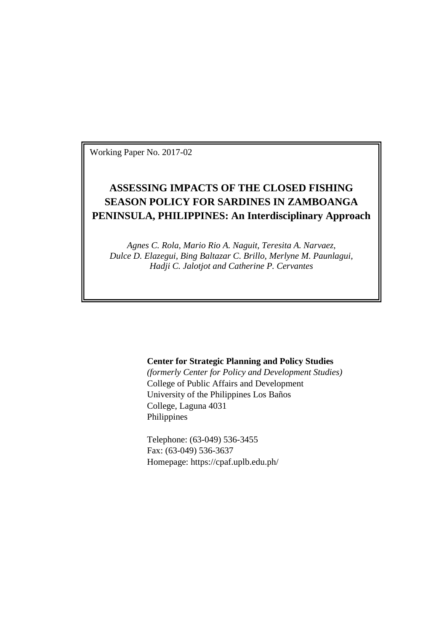Working Paper No. 2017-02

# **ASSESSING IMPACTS OF THE CLOSED FISHING SEASON POLICY FOR SARDINES IN ZAMBOANGA PENINSULA, PHILIPPINES: An Interdisciplinary Approach**

*Agnes C. Rola, Mario Rio A. Naguit, Teresita A. Narvaez, Dulce D. Elazegui, Bing Baltazar C. Brillo, Merlyne M. Paunlagui, Hadji C. Jalotjot and Catherine P. Cervantes*

## **Center for Strategic Planning and Policy Studies**

*(formerly Center for Policy and Development Studies)* College of Public Affairs and Development University of the Philippines Los Baños College, Laguna 4031 Philippines

Telephone: (63-049) 536-3455 Fax: (63-049) 536-3637 Homepage: https://cpaf.uplb.edu.ph/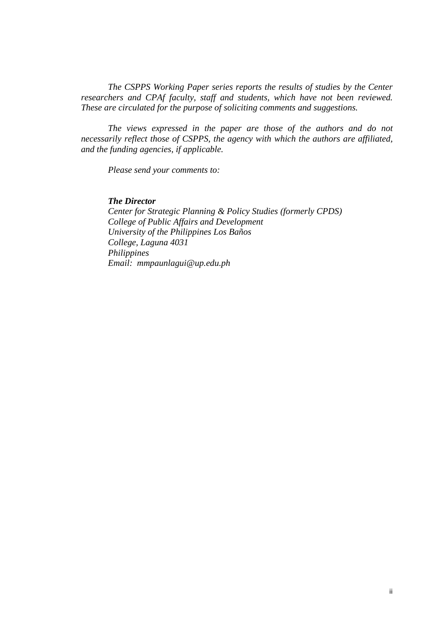*The CSPPS Working Paper series reports the results of studies by the Center researchers and CPAf faculty, staff and students, which have not been reviewed. These are circulated for the purpose of soliciting comments and suggestions.*

*The views expressed in the paper are those of the authors and do not necessarily reflect those of CSPPS, the agency with which the authors are affiliated, and the funding agencies, if applicable.*

*Please send your comments to:*

### *The Director*

*Center for Strategic Planning & Policy Studies (formerly CPDS) College of Public Affairs and Development University of the Philippines Los Baños College, Laguna 4031 Philippines Email: mmpaunlagui@up.edu.ph*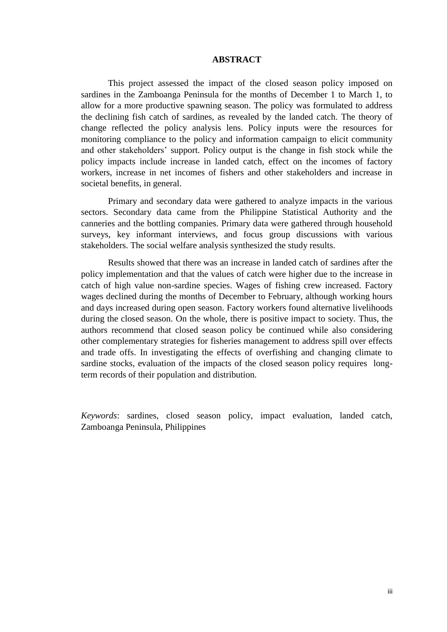#### **ABSTRACT**

This project assessed the impact of the closed season policy imposed on sardines in the Zamboanga Peninsula for the months of December 1 to March 1, to allow for a more productive spawning season. The policy was formulated to address the declining fish catch of sardines, as revealed by the landed catch. The theory of change reflected the policy analysis lens. Policy inputs were the resources for monitoring compliance to the policy and information campaign to elicit community and other stakeholders' support. Policy output is the change in fish stock while the policy impacts include increase in landed catch, effect on the incomes of factory workers, increase in net incomes of fishers and other stakeholders and increase in societal benefits, in general.

Primary and secondary data were gathered to analyze impacts in the various sectors. Secondary data came from the Philippine Statistical Authority and the canneries and the bottling companies. Primary data were gathered through household surveys, key informant interviews, and focus group discussions with various stakeholders. The social welfare analysis synthesized the study results.

Results showed that there was an increase in landed catch of sardines after the policy implementation and that the values of catch were higher due to the increase in catch of high value non-sardine species. Wages of fishing crew increased. Factory wages declined during the months of December to February, although working hours and days increased during open season. Factory workers found alternative livelihoods during the closed season. On the whole, there is positive impact to society. Thus, the authors recommend that closed season policy be continued while also considering other complementary strategies for fisheries management to address spill over effects and trade offs. In investigating the effects of overfishing and changing climate to sardine stocks, evaluation of the impacts of the closed season policy requires longterm records of their population and distribution.

*Keywords*: sardines, closed season policy, impact evaluation, landed catch, Zamboanga Peninsula, Philippines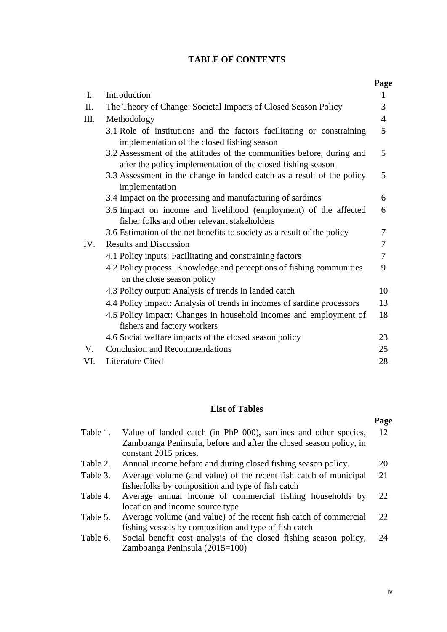## **TABLE OF CONTENTS**

|                |                                                                                                                                       | Page           |
|----------------|---------------------------------------------------------------------------------------------------------------------------------------|----------------|
| $\mathbf{I}$ . | Introduction                                                                                                                          | 1              |
| II.            | The Theory of Change: Societal Impacts of Closed Season Policy                                                                        | 3              |
| III.           | Methodology                                                                                                                           | $\overline{4}$ |
|                | 3.1 Role of institutions and the factors facilitating or constraining<br>implementation of the closed fishing season                  | 5              |
|                | 3.2 Assessment of the attitudes of the communities before, during and<br>after the policy implementation of the closed fishing season | 5              |
|                | 3.3 Assessment in the change in landed catch as a result of the policy<br>implementation                                              | 5              |
|                | 3.4 Impact on the processing and manufacturing of sardines                                                                            | 6              |
|                | 3.5 Impact on income and livelihood (employment) of the affected<br>fisher folks and other relevant stakeholders                      | 6              |
|                | 3.6 Estimation of the net benefits to society as a result of the policy                                                               | 7              |
| IV.            | <b>Results and Discussion</b>                                                                                                         | 7              |
|                | 4.1 Policy inputs: Facilitating and constraining factors                                                                              | 7              |
|                | 4.2 Policy process: Knowledge and perceptions of fishing communities<br>on the close season policy                                    | 9              |
|                | 4.3 Policy output: Analysis of trends in landed catch                                                                                 | 10             |
|                | 4.4 Policy impact: Analysis of trends in incomes of sardine processors                                                                | 13             |
|                | 4.5 Policy impact: Changes in household incomes and employment of<br>fishers and factory workers                                      | 18             |
|                | 4.6 Social welfare impacts of the closed season policy                                                                                | 23             |
| $V_{\cdot}$    | <b>Conclusion and Recommendations</b>                                                                                                 | 25             |
| VI.            | Literature Cited                                                                                                                      | 28             |

## **List of Tables**

# **Page**

| Table 1. | Value of landed catch (in PhP 000), sardines and other species,    | 12              |
|----------|--------------------------------------------------------------------|-----------------|
|          | Zamboanga Peninsula, before and after the closed season policy, in |                 |
|          | constant 2015 prices.                                              |                 |
| Table 2. | Annual income before and during closed fishing season policy.      | 20              |
| Table 3. | Average volume (and value) of the recent fish catch of municipal   | 21              |
|          | fisherfolks by composition and type of fish catch                  |                 |
| Table 4. | Average annual income of commercial fishing households by          | 22              |
|          | location and income source type                                    |                 |
| Table 5. | Average volume (and value) of the recent fish catch of commercial  | 22 <sub>1</sub> |
|          | fishing vessels by composition and type of fish catch              |                 |
| Table 6. | Social benefit cost analysis of the closed fishing season policy,  | 24              |
|          | Zamboanga Peninsula (2015=100)                                     |                 |
|          |                                                                    |                 |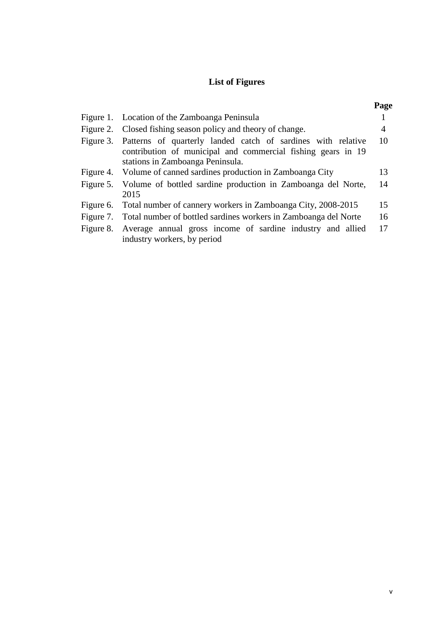# **List of Figures**

| r<br>٠<br>۰. |
|--------------|
|--------------|

| Figure 1. Location of the Zamboanga Peninsula                                                                                                                              |    |
|----------------------------------------------------------------------------------------------------------------------------------------------------------------------------|----|
| Figure 2. Closed fishing season policy and theory of change.                                                                                                               | 4  |
| Figure 3. Patterns of quarterly landed catch of sardines with relative<br>contribution of municipal and commercial fishing gears in 19<br>stations in Zamboanga Peninsula. | 10 |
| Figure 4. Volume of canned sardines production in Zamboanga City                                                                                                           | 13 |
| Figure 5. Volume of bottled sardine production in Zamboanga del Norte,<br>2015                                                                                             | 14 |
| Figure 6. Total number of cannery workers in Zamboanga City, 2008-2015                                                                                                     | 15 |
| Figure 7. Total number of bottled sardines workers in Zamboanga del Norte                                                                                                  | 16 |
| Figure 8. Average annual gross income of sardine industry and allied<br>industry workers, by period                                                                        | 17 |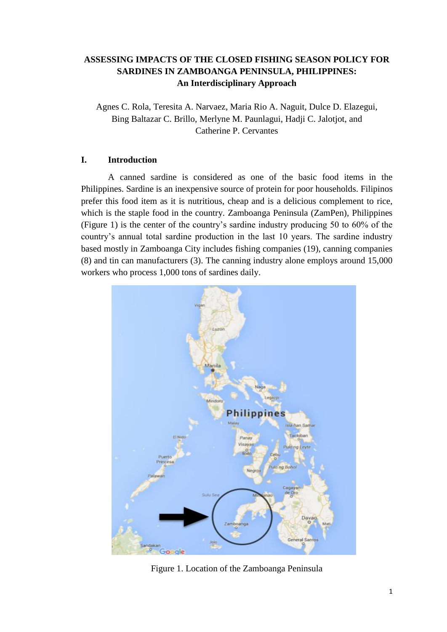## **ASSESSING IMPACTS OF THE CLOSED FISHING SEASON POLICY FOR SARDINES IN ZAMBOANGA PENINSULA, PHILIPPINES: An Interdisciplinary Approach**

Agnes C. Rola, Teresita A. Narvaez, Maria Rio A. Naguit, Dulce D. Elazegui, Bing Baltazar C. Brillo, Merlyne M. Paunlagui, Hadji C. Jalotjot, and Catherine P. Cervantes

## **I. Introduction**

A canned sardine is considered as one of the basic food items in the Philippines. Sardine is an inexpensive source of protein for poor households. Filipinos prefer this food item as it is nutritious, cheap and is a delicious complement to rice, which is the staple food in the country. Zamboanga Peninsula (ZamPen), Philippines (Figure 1) is the center of the country's sardine industry producing 50 to 60% of the country's annual total sardine production in the last 10 years. The sardine industry based mostly in Zamboanga City includes fishing companies (19), canning companies (8) and tin can manufacturers (3). The canning industry alone employs around 15,000 workers who process 1,000 tons of sardines daily.



Figure 1. Location of the Zamboanga Peninsula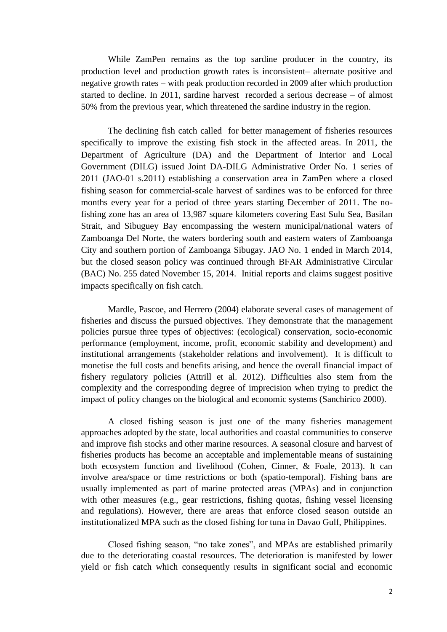While ZamPen remains as the top sardine producer in the country, its production level and production growth rates is inconsistent– alternate positive and negative growth rates – with peak production recorded in 2009 after which production started to decline. In 2011, sardine harvest recorded a serious decrease – of almost 50% from the previous year, which threatened the sardine industry in the region.

The declining fish catch called for better management of fisheries resources specifically to improve the existing fish stock in the affected areas. In 2011, the Department of Agriculture (DA) and the Department of Interior and Local Government (DILG) issued Joint DA-DILG Administrative Order No. 1 series of 2011 (JAO-01 s.2011) establishing a conservation area in ZamPen where a closed fishing season for commercial-scale harvest of sardines was to be enforced for three months every year for a period of three years starting December of 2011. The nofishing zone has an area of 13,987 square kilometers covering East Sulu Sea, Basilan Strait, and Sibuguey Bay encompassing the western municipal/national waters of Zamboanga Del Norte, the waters bordering south and eastern waters of Zamboanga City and southern portion of Zamboanga Sibugay. JAO No. 1 ended in March 2014, but the closed season policy was continued through BFAR Administrative Circular (BAC) No. 255 dated November 15, 2014. Initial reports and claims suggest positive impacts specifically on fish catch.

Mardle, Pascoe, and Herrero (2004) elaborate several cases of management of fisheries and discuss the pursued objectives. They demonstrate that the management policies pursue three types of objectives: (ecological) conservation, socio-economic performance (employment, income, profit, economic stability and development) and institutional arrangements (stakeholder relations and involvement). It is difficult to monetise the full costs and benefits arising, and hence the overall financial impact of fishery regulatory policies (Attrill et al. 2012). Difficulties also stem from the complexity and the corresponding degree of imprecision when trying to predict the impact of policy changes on the biological and economic systems (Sanchirico 2000).

A closed fishing season is just one of the many fisheries management approaches adopted by the state, local authorities and coastal communities to conserve and improve fish stocks and other marine resources. A seasonal closure and harvest of fisheries products has become an acceptable and implementable means of sustaining both ecosystem function and livelihood (Cohen, Cinner, & Foale, 2013). It can involve area/space or time restrictions or both (spatio-temporal). Fishing bans are usually implemented as part of marine protected areas (MPAs) and in conjunction with other measures (e.g., gear restrictions, fishing quotas, fishing vessel licensing and regulations). However, there are areas that enforce closed season outside an institutionalized MPA such as the closed fishing for tuna in Davao Gulf, Philippines.

Closed fishing season, "no take zones", and MPAs are established primarily due to the deteriorating coastal resources. The deterioration is manifested by lower yield or fish catch which consequently results in significant social and economic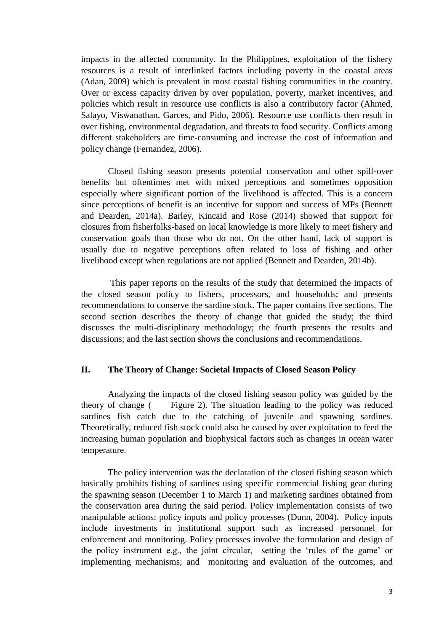impacts in the affected community. In the Philippines, exploitation of the fishery resources is a result of interlinked factors including poverty in the coastal areas (Adan, 2009) which is prevalent in most coastal fishing communities in the country. Over or excess capacity driven by over population, poverty, market incentives, and policies which result in resource use conflicts is also a contributory factor (Ahmed, Salayo, Viswanathan, Garces, and Pido, 2006). Resource use conflicts then result in over fishing, environmental degradation, and threats to food security. Conflicts among different stakeholders are time-consuming and increase the cost of information and policy change (Fernandez, 2006).

Closed fishing season presents potential conservation and other spill-over benefits but oftentimes met with mixed perceptions and sometimes opposition especially where significant portion of the livelihood is affected. This is a concern since perceptions of benefit is an incentive for support and success of MPs (Bennett and Dearden, 2014a). Barley, Kincaid and Rose (2014) showed that support for closures from fisherfolks-based on local knowledge is more likely to meet fishery and conservation goals than those who do not. On the other hand, lack of support is usually due to negative perceptions often related to loss of fishing and other livelihood except when regulations are not applied (Bennett and Dearden, 2014b).

This paper reports on the results of the study that determined the impacts of the closed season policy to fishers, processors, and households; and presents recommendations to conserve the sardine stock. The paper contains five sections. The second section describes the theory of change that guided the study; the third discusses the multi-disciplinary methodology; the fourth presents the results and discussions; and the last section shows the conclusions and recommendations.

## **II. The Theory of Change: Societal Impacts of Closed Season Policy**

Analyzing the impacts of the closed fishing season policy was guided by the theory of change [\( Figure](#page-8-0) 2). The situation leading to the policy was reduced sardines fish catch due to the catching of juvenile and spawning sardines. Theoretically, reduced fish stock could also be caused by over exploitation to feed the increasing human population and biophysical factors such as changes in ocean water temperature.

The policy intervention was the declaration of the closed fishing season which basically prohibits fishing of sardines using specific commercial fishing gear during the spawning season (December 1 to March 1) and marketing sardines obtained from the conservation area during the said period. Policy implementation consists of two manipulable actions: policy inputs and policy processes (Dunn, 2004). Policy inputs include investments in institutional support such as increased personnel for enforcement and monitoring. Policy processes involve the formulation and design of the policy instrument e.g., the joint circular, setting the 'rules of the game' or implementing mechanisms; and monitoring and evaluation of the outcomes, and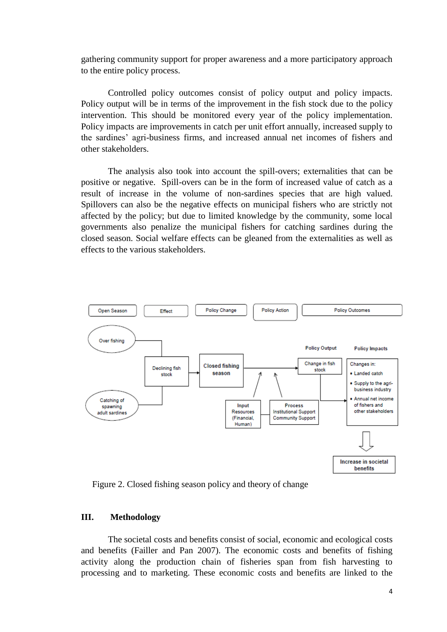gathering community support for proper awareness and a more participatory approach to the entire policy process.

Controlled policy outcomes consist of policy output and policy impacts. Policy output will be in terms of the improvement in the fish stock due to the policy intervention. This should be monitored every year of the policy implementation. Policy impacts are improvements in catch per unit effort annually, increased supply to the sardines' agri-business firms, and increased annual net incomes of fishers and other stakeholders.

The analysis also took into account the spill-overs; externalities that can be positive or negative. Spill-overs can be in the form of increased value of catch as a result of increase in the volume of non-sardines species that are high valued. Spillovers can also be the negative effects on municipal fishers who are strictly not affected by the policy; but due to limited knowledge by the community, some local governments also penalize the municipal fishers for catching sardines during the closed season. Social welfare effects can be gleaned from the externalities as well as effects to the various stakeholders.



<span id="page-8-0"></span>Figure 2. Closed fishing season policy and theory of change

## **III. Methodology**

The societal costs and benefits consist of social, economic and ecological costs and benefits (Failler and Pan 2007). The economic costs and benefits of fishing activity along the production chain of fisheries span from fish harvesting to processing and to marketing. These economic costs and benefits are linked to the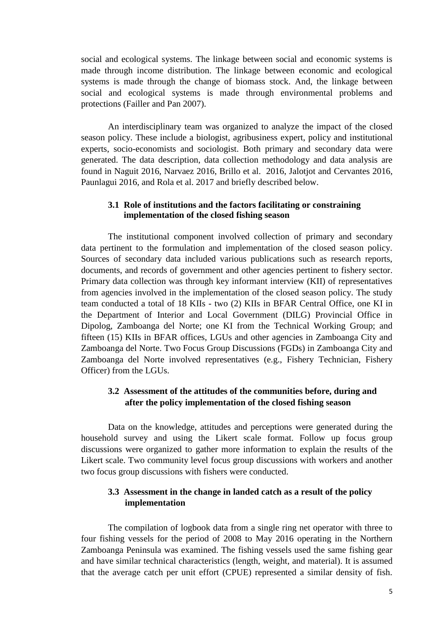social and ecological systems. The linkage between social and economic systems is made through income distribution. The linkage between economic and ecological systems is made through the change of biomass stock. And, the linkage between social and ecological systems is made through environmental problems and protections (Failler and Pan 2007).

An interdisciplinary team was organized to analyze the impact of the closed season policy. These include a biologist, agribusiness expert, policy and institutional experts, socio-economists and sociologist. Both primary and secondary data were generated. The data description, data collection methodology and data analysis are found in Naguit 2016, Narvaez 2016, Brillo et al. 2016, Jalotjot and Cervantes 2016, Paunlagui 2016, and Rola et al. 2017 and briefly described below.

## **3.1 Role of institutions and the factors facilitating or constraining implementation of the closed fishing season**

The institutional component involved collection of primary and secondary data pertinent to the formulation and implementation of the closed season policy. Sources of secondary data included various publications such as research reports, documents, and records of government and other agencies pertinent to fishery sector. Primary data collection was through key informant interview (KII) of representatives from agencies involved in the implementation of the closed season policy. The study team conducted a total of 18 KIIs - two (2) KIIs in BFAR Central Office, one KI in the Department of Interior and Local Government (DILG) Provincial Office in Dipolog, Zamboanga del Norte; one KI from the Technical Working Group; and fifteen (15) KIIs in BFAR offices, LGUs and other agencies in Zamboanga City and Zamboanga del Norte. Two Focus Group Discussions (FGDs) in Zamboanga City and Zamboanga del Norte involved representatives (e.g., Fishery Technician, Fishery Officer) from the LGUs.

## **3.2 Assessment of the attitudes of the communities before, during and after the policy implementation of the closed fishing season**

Data on the knowledge, attitudes and perceptions were generated during the household survey and using the Likert scale format. Follow up focus group discussions were organized to gather more information to explain the results of the Likert scale. Two community level focus group discussions with workers and another two focus group discussions with fishers were conducted.

## **3.3 Assessment in the change in landed catch as a result of the policy implementation**

The compilation of logbook data from a single ring net operator with three to four fishing vessels for the period of 2008 to May 2016 operating in the Northern Zamboanga Peninsula was examined. The fishing vessels used the same fishing gear and have similar technical characteristics (length, weight, and material). It is assumed that the average catch per unit effort (CPUE) represented a similar density of fish.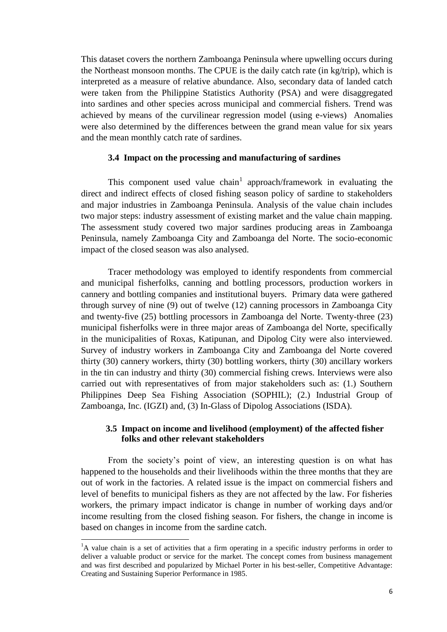This dataset covers the northern Zamboanga Peninsula where upwelling occurs during the Northeast monsoon months. The CPUE is the daily catch rate (in kg/trip), which is interpreted as a measure of relative abundance. Also, secondary data of landed catch were taken from the Philippine Statistics Authority (PSA) and were disaggregated into sardines and other species across municipal and commercial fishers. Trend was achieved by means of the curvilinear regression model (using e-views) Anomalies were also determined by the differences between the grand mean value for six years and the mean monthly catch rate of sardines.

#### **3.4 Impact on the processing and manufacturing of sardines**

This component used value chain<sup>1</sup> approach/framework in evaluating the direct and indirect effects of closed fishing season policy of sardine to stakeholders and major industries in Zamboanga Peninsula. Analysis of the value chain includes two major steps: industry assessment of existing market and the value chain mapping. The assessment study covered two major sardines producing areas in Zamboanga Peninsula, namely Zamboanga City and Zamboanga del Norte. The socio-economic impact of the closed season was also analysed.

Tracer methodology was employed to identify respondents from commercial and municipal fisherfolks, canning and bottling processors, production workers in cannery and bottling companies and institutional buyers. Primary data were gathered through survey of nine (9) out of twelve (12) canning processors in Zamboanga City and twenty-five (25) bottling processors in Zamboanga del Norte. Twenty-three (23) municipal fisherfolks were in three major areas of Zamboanga del Norte, specifically in the municipalities of Roxas, Katipunan, and Dipolog City were also interviewed. Survey of industry workers in Zamboanga City and Zamboanga del Norte covered thirty (30) cannery workers, thirty (30) bottling workers, thirty (30) ancillary workers in the tin can industry and thirty (30) commercial fishing crews. Interviews were also carried out with representatives of from major stakeholders such as: (1.) Southern Philippines Deep Sea Fishing Association (SOPHIL); (2.) Industrial Group of Zamboanga, Inc. (IGZI) and, (3) In-Glass of Dipolog Associations (ISDA).

## **3.5 Impact on income and livelihood (employment) of the affected fisher folks and other relevant stakeholders**

From the society's point of view, an interesting question is on what has happened to the households and their livelihoods within the three months that they are out of work in the factories. A related issue is the impact on commercial fishers and level of benefits to municipal fishers as they are not affected by the law. For fisheries workers, the primary impact indicator is change in number of working days and/or income resulting from the closed fishing season. For fishers, the change in income is based on changes in income from the sardine catch.

**.** 

<sup>&</sup>lt;sup>1</sup>A value chain is a set of activities that a firm operating in a specific industry performs in order to deliver a valuable product or service for the market. The concept comes from business management and was first described and popularized by Michael Porter in his best-seller, Competitive Advantage: Creating and Sustaining Superior Performance in 1985.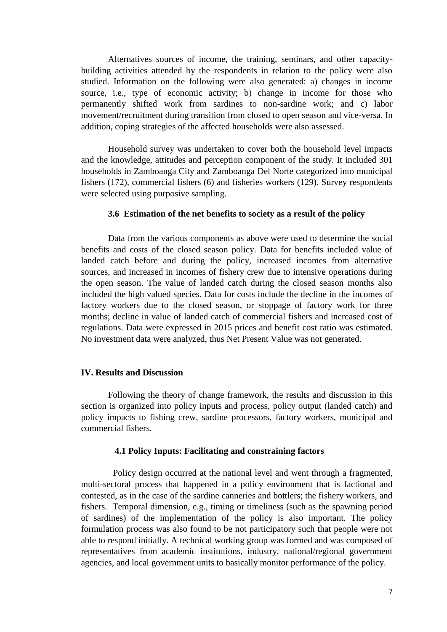Alternatives sources of income, the training, seminars, and other capacitybuilding activities attended by the respondents in relation to the policy were also studied. Information on the following were also generated: a) changes in income source, i.e., type of economic activity; b) change in income for those who permanently shifted work from sardines to non-sardine work; and c) labor movement/recruitment during transition from closed to open season and vice-versa. In addition, coping strategies of the affected households were also assessed.

Household survey was undertaken to cover both the household level impacts and the knowledge, attitudes and perception component of the study. It included 301 households in Zamboanga City and Zamboanga Del Norte categorized into municipal fishers (172), commercial fishers (6) and fisheries workers (129). Survey respondents were selected using purposive sampling.

#### **3.6 Estimation of the net benefits to society as a result of the policy**

Data from the various components as above were used to determine the social benefits and costs of the closed season policy. Data for benefits included value of landed catch before and during the policy, increased incomes from alternative sources, and increased in incomes of fishery crew due to intensive operations during the open season. The value of landed catch during the closed season months also included the high valued species. Data for costs include the decline in the incomes of factory workers due to the closed season, or stoppage of factory work for three months; decline in value of landed catch of commercial fishers and increased cost of regulations. Data were expressed in 2015 prices and benefit cost ratio was estimated. No investment data were analyzed, thus Net Present Value was not generated.

#### **IV. Results and Discussion**

Following the theory of change framework, the results and discussion in this section is organized into policy inputs and process, policy output (landed catch) and policy impacts to fishing crew, sardine processors, factory workers, municipal and commercial fishers.

#### **4.1 Policy Inputs: Facilitating and constraining factors**

Policy design occurred at the national level and went through a fragmented, multi-sectoral process that happened in a policy environment that is factional and contested, as in the case of the sardine canneries and bottlers; the fishery workers, and fishers. Temporal dimension, e.g., timing or timeliness (such as the spawning period of sardines) of the implementation of the policy is also important. The policy formulation process was also found to be not participatory such that people were not able to respond initially. A technical working group was formed and was composed of representatives from academic institutions, industry, national/regional government agencies, and local government units to basically monitor performance of the policy.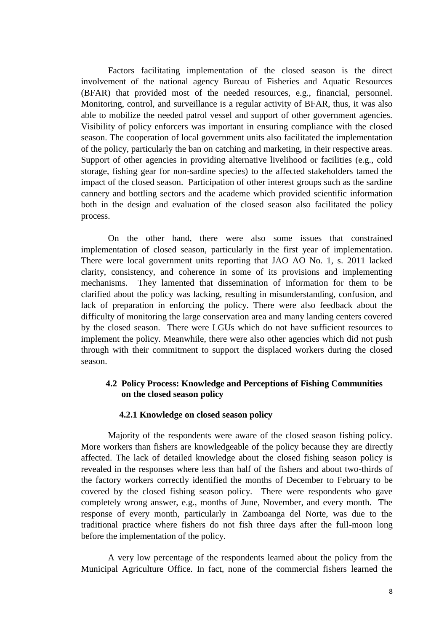Factors facilitating implementation of the closed season is the direct involvement of the national agency Bureau of Fisheries and Aquatic Resources (BFAR) that provided most of the needed resources, e.g., financial, personnel. Monitoring, control, and surveillance is a regular activity of BFAR, thus, it was also able to mobilize the needed patrol vessel and support of other government agencies. Visibility of policy enforcers was important in ensuring compliance with the closed season. The cooperation of local government units also facilitated the implementation of the policy, particularly the ban on catching and marketing, in their respective areas. Support of other agencies in providing alternative livelihood or facilities (e.g., cold storage, fishing gear for non-sardine species) to the affected stakeholders tamed the impact of the closed season. Participation of other interest groups such as the sardine cannery and bottling sectors and the academe which provided scientific information both in the design and evaluation of the closed season also facilitated the policy process.

On the other hand, there were also some issues that constrained implementation of closed season, particularly in the first year of implementation. There were local government units reporting that JAO AO No. 1, s. 2011 lacked clarity, consistency, and coherence in some of its provisions and implementing mechanisms. They lamented that dissemination of information for them to be clarified about the policy was lacking, resulting in misunderstanding, confusion, and lack of preparation in enforcing the policy. There were also feedback about the difficulty of monitoring the large conservation area and many landing centers covered by the closed season. There were LGUs which do not have sufficient resources to implement the policy. Meanwhile, there were also other agencies which did not push through with their commitment to support the displaced workers during the closed season.

## **4.2 Policy Process: Knowledge and Perceptions of Fishing Communities on the closed season policy**

#### **4.2.1 Knowledge on closed season policy**

Majority of the respondents were aware of the closed season fishing policy. More workers than fishers are knowledgeable of the policy because they are directly affected. The lack of detailed knowledge about the closed fishing season policy is revealed in the responses where less than half of the fishers and about two-thirds of the factory workers correctly identified the months of December to February to be covered by the closed fishing season policy. There were respondents who gave completely wrong answer, e.g., months of June, November, and every month. The response of every month, particularly in Zamboanga del Norte, was due to the traditional practice where fishers do not fish three days after the full-moon long before the implementation of the policy.

A very low percentage of the respondents learned about the policy from the Municipal Agriculture Office. In fact, none of the commercial fishers learned the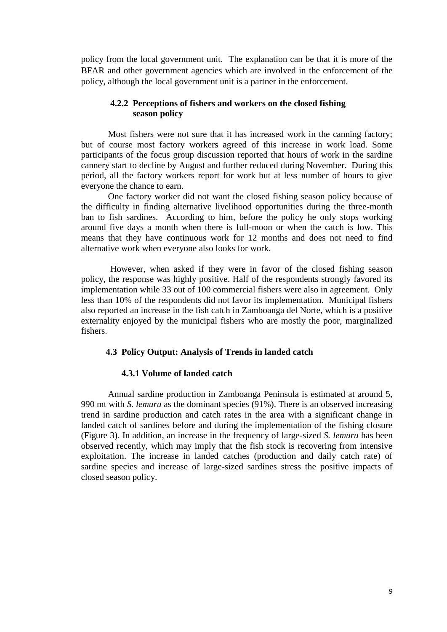policy from the local government unit. The explanation can be that it is more of the BFAR and other government agencies which are involved in the enforcement of the policy, although the local government unit is a partner in the enforcement.

## **4.2.2 Perceptions of fishers and workers on the closed fishing season policy**

Most fishers were not sure that it has increased work in the canning factory; but of course most factory workers agreed of this increase in work load. Some participants of the focus group discussion reported that hours of work in the sardine cannery start to decline by August and further reduced during November. During this period, all the factory workers report for work but at less number of hours to give everyone the chance to earn.

One factory worker did not want the closed fishing season policy because of the difficulty in finding alternative livelihood opportunities during the three-month ban to fish sardines. According to him, before the policy he only stops working around five days a month when there is full-moon or when the catch is low. This means that they have continuous work for 12 months and does not need to find alternative work when everyone also looks for work.

However, when asked if they were in favor of the closed fishing season policy, the response was highly positive. Half of the respondents strongly favored its implementation while 33 out of 100 commercial fishers were also in agreement. Only less than 10% of the respondents did not favor its implementation. Municipal fishers also reported an increase in the fish catch in Zamboanga del Norte, which is a positive externality enjoyed by the municipal fishers who are mostly the poor, marginalized fishers.

### **4.3 Policy Output: Analysis of Trends in landed catch**

## **4.3.1 Volume of landed catch**

Annual sardine production in Zamboanga Peninsula is estimated at around 5, 990 mt with *S. lemuru* as the dominant species (91%). There is an observed increasing trend in sardine production and catch rates in the area with a significant change in landed catch of sardines before and during the implementation of the fishing closure [\(Figure](#page-14-0) 3). In addition, an increase in the frequency of large-sized *S. lemuru* has been observed recently, which may imply that the fish stock is recovering from intensive exploitation. The increase in landed catches (production and daily catch rate) of sardine species and increase of large-sized sardines stress the positive impacts of closed season policy.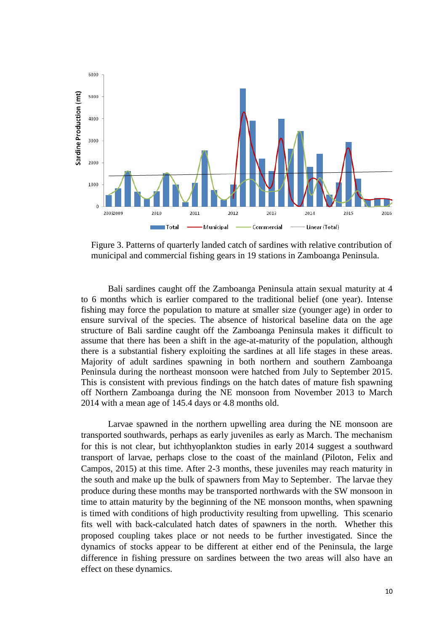

<span id="page-14-0"></span>Figure 3. Patterns of quarterly landed catch of sardines with relative contribution of municipal and commercial fishing gears in 19 stations in Zamboanga Peninsula.

Bali sardines caught off the Zamboanga Peninsula attain sexual maturity at 4 to 6 months which is earlier compared to the traditional belief (one year). Intense fishing may force the population to mature at smaller size (younger age) in order to ensure survival of the species. The absence of historical baseline data on the age structure of Bali sardine caught off the Zamboanga Peninsula makes it difficult to assume that there has been a shift in the age-at-maturity of the population, although there is a substantial fishery exploiting the sardines at all life stages in these areas. Majority of adult sardines spawning in both northern and southern Zamboanga Peninsula during the northeast monsoon were hatched from July to September 2015. This is consistent with previous findings on the hatch dates of mature fish spawning off Northern Zamboanga during the NE monsoon from November 2013 to March 2014 with a mean age of 145.4 days or 4.8 months old.

Larvae spawned in the northern upwelling area during the NE monsoon are transported southwards, perhaps as early juveniles as early as March. The mechanism for this is not clear, but ichthyoplankton studies in early 2014 suggest a southward transport of larvae, perhaps close to the coast of the mainland (Piloton, Felix and Campos, 2015) at this time. After 2-3 months, these juveniles may reach maturity in the south and make up the bulk of spawners from May to September. The larvae they produce during these months may be transported northwards with the SW monsoon in time to attain maturity by the beginning of the NE monsoon months, when spawning is timed with conditions of high productivity resulting from upwelling. This scenario fits well with back-calculated hatch dates of spawners in the north. Whether this proposed coupling takes place or not needs to be further investigated. Since the dynamics of stocks appear to be different at either end of the Peninsula, the large difference in fishing pressure on sardines between the two areas will also have an effect on these dynamics.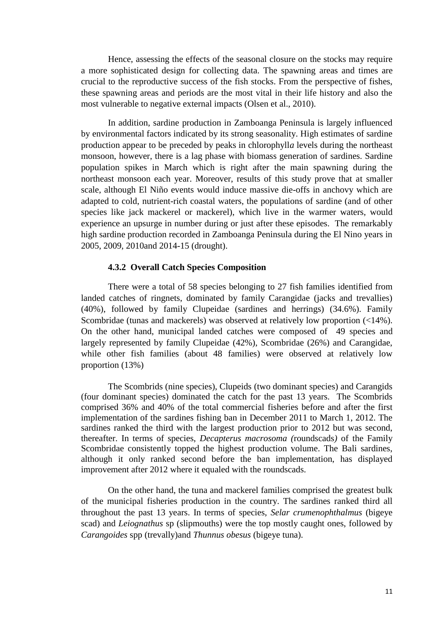Hence, assessing the effects of the seasonal closure on the stocks may require a more sophisticated design for collecting data. The spawning areas and times are crucial to the reproductive success of the fish stocks. From the perspective of fishes, these spawning areas and periods are the most vital in their life history and also the most vulnerable to negative external impacts (Olsen et al., 2010).

In addition, sardine production in Zamboanga Peninsula is largely influenced by environmental factors indicated by its strong seasonality. High estimates of sardine production appear to be preceded by peaks in chlorophyll*a* levels during the northeast monsoon, however, there is a lag phase with biomass generation of sardines. Sardine population spikes in March which is right after the main spawning during the northeast monsoon each year. Moreover, results of this study prove that at smaller scale, although El Niño events would induce massive die-offs in anchovy which are adapted to cold, nutrient-rich coastal waters, the populations of sardine (and of other species like jack mackerel or mackerel), which live in the warmer waters, would experience an upsurge in number during or just after these episodes. The remarkably high sardine production recorded in Zamboanga Peninsula during the El Nino years in 2005, 2009, 2010and 2014-15 (drought).

#### **4.3.2 Overall Catch Species Composition**

There were a total of 58 species belonging to 27 fish families identified from landed catches of ringnets, dominated by family Carangidae (jacks and trevallies) (40%), followed by family Clupeidae (sardines and herrings) (34.6%). Family Scombridae (tunas and mackerels) was observed at relatively low proportion (<14%). On the other hand, municipal landed catches were composed of 49 species and largely represented by family Clupeidae (42%), Scombridae (26%) and Carangidae, while other fish families (about 48 families) were observed at relatively low proportion (13%)

The Scombrids (nine species), Clupeids (two dominant species) and Carangids (four dominant species) dominated the catch for the past 13 years. The Scombrids comprised 36% and 40% of the total commercial fisheries before and after the first implementation of the sardines fishing ban in December 2011 to March 1, 2012. The sardines ranked the third with the largest production prior to 2012 but was second, thereafter. In terms of species, *Decapterus macrosoma (*roundscads*)* of the Family Scombridae consistently topped the highest production volume. The Bali sardines, although it only ranked second before the ban implementation, has displayed improvement after 2012 where it equaled with the roundscads.

On the other hand, the tuna and mackerel families comprised the greatest bulk of the municipal fisheries production in the country. The sardines ranked third all throughout the past 13 years. In terms of species, *Selar crumenophthalmus* (bigeye scad) and *Leiognathus* sp (slipmouths) were the top mostly caught ones, followed by *Carangoides* spp (trevally)and *Thunnus obesus* (bigeye tuna).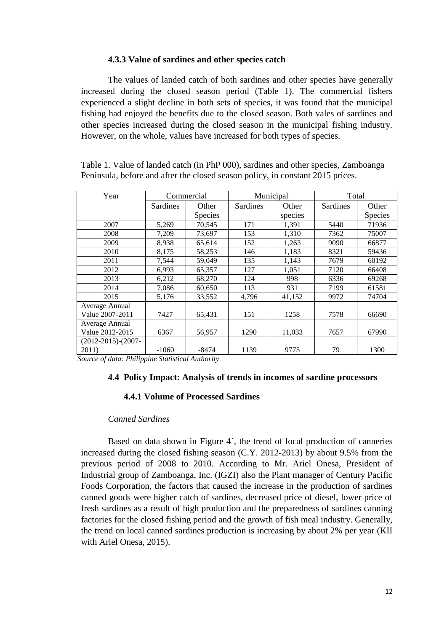#### **4.3.3 Value of sardines and other species catch**

The values of landed catch of both sardines and other species have generally increased during the closed season period (Table 1). The commercial fishers experienced a slight decline in both sets of species, it was found that the municipal fishing had enjoyed the benefits due to the closed season. Both vales of sardines and other species increased during the closed season in the municipal fishing industry. However, on the whole, values have increased for both types of species.

| Year                      |                 | Commercial     |          | Municipal |          | Total          |
|---------------------------|-----------------|----------------|----------|-----------|----------|----------------|
|                           | <b>Sardines</b> | Other          | Sardines | Other     | Sardines | Other          |
|                           |                 | <b>Species</b> |          | species   |          | <b>Species</b> |
| 2007                      | 5,269           | 70,545         | 171      | 1,391     | 5440     | 71936          |
| 2008                      | 7,209           | 73,697         | 153      | 1,310     | 7362     | 75007          |
| 2009                      | 8,938           | 65,614         | 152      | 1,263     | 9090     | 66877          |
| 2010                      | 8,175           | 58,253         | 146      | 1,183     | 8321     | 59436          |
| 2011                      | 7,544           | 59,049         | 135      | 1,143     | 7679     | 60192          |
| 2012                      | 6,993           | 65,357         | 127      | 1,051     | 7120     | 66408          |
| 2013                      | 6,212           | 68,270         | 124      | 998       | 6336     | 69268          |
| 2014                      | 7,086           | 60,650         | 113      | 931       | 7199     | 61581          |
| 2015                      | 5,176           | 33,552         | 4,796    | 41,152    | 9972     | 74704          |
| Average Annual            |                 |                |          |           |          |                |
| Value 2007-2011           | 7427            | 65,431         | 151      | 1258      | 7578     | 66690          |
| Average Annual            |                 |                |          |           |          |                |
| Value 2012-2015           | 6367            | 56,957         | 1290     | 11,033    | 7657     | 67990          |
| $(2012 - 2015) - (2007 -$ |                 |                |          |           |          |                |
| 2011)                     | $-1060$         | -8474          | 1139     | 9775      | 79       | 1300           |

Table 1. Value of landed catch (in PhP 000), sardines and other species, Zamboanga Peninsula, before and after the closed season policy, in constant 2015 prices.

*Source of data: Philippine Statistical Authority* 

#### **4.4 Policy Impact: Analysis of trends in incomes of sardine processors**

## **4.4.1 Volume of Processed Sardines**

#### *Canned Sardines*

Based on data shown in [Figure 4](#page-17-0)`, the trend of local production of canneries increased during the closed fishing season (C.Y. 2012-2013) by about 9.5% from the previous period of 2008 to 2010. According to Mr. Ariel Onesa, President of Industrial group of Zamboanga, Inc. (IGZI) also the Plant manager of Century Pacific Foods Corporation, the factors that caused the increase in the production of sardines canned goods were higher catch of sardines, decreased price of diesel, lower price of fresh sardines as a result of high production and the preparedness of sardines canning factories for the closed fishing period and the growth of fish meal industry. Generally, the trend on local canned sardines production is increasing by about 2% per year (KII with Ariel Onesa, 2015).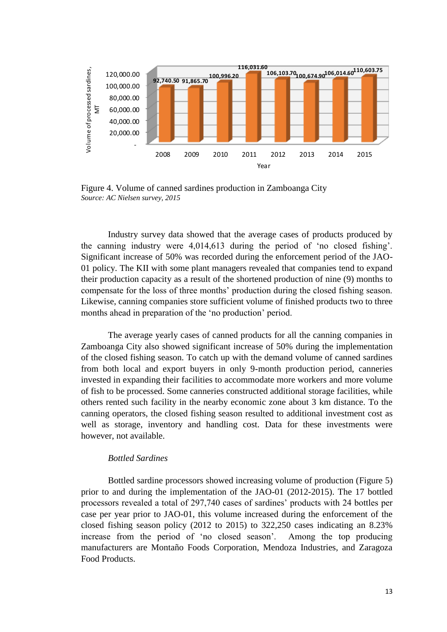

<span id="page-17-0"></span>Figure 4. Volume of canned sardines production in Zamboanga City *Source: AC Nielsen survey, 2015*

Industry survey data showed that the average cases of products produced by the canning industry were 4,014,613 during the period of 'no closed fishing'. Significant increase of 50% was recorded during the enforcement period of the JAO-01 policy. The KII with some plant managers revealed that companies tend to expand their production capacity as a result of the shortened production of nine (9) months to compensate for the loss of three months' production during the closed fishing season. Likewise, canning companies store sufficient volume of finished products two to three months ahead in preparation of the 'no production' period.

The average yearly cases of canned products for all the canning companies in Zamboanga City also showed significant increase of 50% during the implementation of the closed fishing season. To catch up with the demand volume of canned sardines from both local and export buyers in only 9-month production period, canneries invested in expanding their facilities to accommodate more workers and more volume of fish to be processed. Some canneries constructed additional storage facilities, while others rented such facility in the nearby economic zone about 3 km distance. To the canning operators, the closed fishing season resulted to additional investment cost as well as storage, inventory and handling cost. Data for these investments were however, not available.

## *Bottled Sardines*

Bottled sardine processors showed increasing volume of production [\(Figure 5](#page-18-0)) prior to and during the implementation of the JAO-01 (2012-2015). The 17 bottled processors revealed a total of 297,740 cases of sardines' products with 24 bottles per case per year prior to JAO-01, this volume increased during the enforcement of the closed fishing season policy (2012 to 2015) to 322,250 cases indicating an 8.23% increase from the period of 'no closed season'. Among the top producing manufacturers are Montaño Foods Corporation, Mendoza Industries, and Zaragoza Food Products.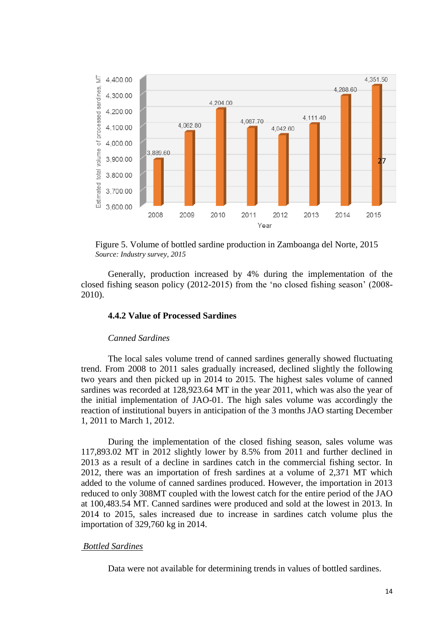

<span id="page-18-0"></span>Figure 5. Volume of bottled sardine production in Zamboanga del Norte, 2015  *Source: Industry survey, 2015*

Generally, production increased by 4% during the implementation of the closed fishing season policy (2012-2015) from the 'no closed fishing season' (2008- 2010).

## **4.4.2 Value of Processed Sardines**

#### *Canned Sardines*

The local sales volume trend of canned sardines generally showed fluctuating trend. From 2008 to 2011 sales gradually increased, declined slightly the following two years and then picked up in 2014 to 2015. The highest sales volume of canned sardines was recorded at 128,923.64 MT in the year 2011, which was also the year of the initial implementation of JAO-01. The high sales volume was accordingly the reaction of institutional buyers in anticipation of the 3 months JAO starting December 1, 2011 to March 1, 2012.

During the implementation of the closed fishing season, sales volume was 117,893.02 MT in 2012 slightly lower by 8.5% from 2011 and further declined in 2013 as a result of a decline in sardines catch in the commercial fishing sector. In 2012, there was an importation of fresh sardines at a volume of 2,371 MT which added to the volume of canned sardines produced. However, the importation in 2013 reduced to only 308MT coupled with the lowest catch for the entire period of the JAO at 100,483.54 MT. Canned sardines were produced and sold at the lowest in 2013. In 2014 to 2015, sales increased due to increase in sardines catch volume plus the importation of 329,760 kg in 2014.

#### *Bottled Sardines*

Data were not available for determining trends in values of bottled sardines.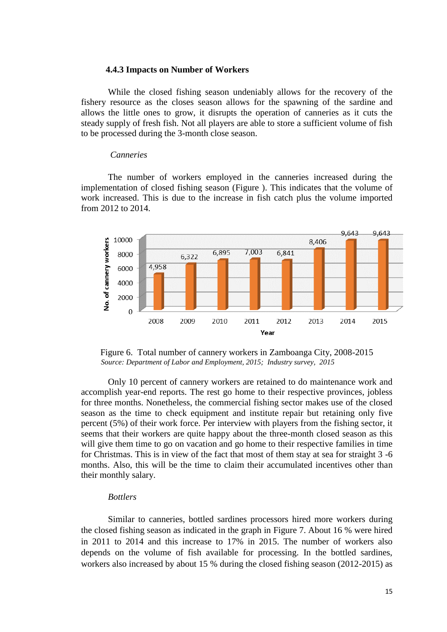#### **4.4.3 Impacts on Number of Workers**

While the closed fishing season undeniably allows for the recovery of the fishery resource as the closes season allows for the spawning of the sardine and allows the little ones to grow, it disrupts the operation of canneries as it cuts the steady supply of fresh fish. Not all players are able to store a sufficient volume of fish to be processed during the 3-month close season.

#### *Canneries*

The number of workers employed in the canneries increased during the implementation of closed fishing season [\(Figure \)](#page-19-0). This indicates that the volume of work increased. This is due to the increase in fish catch plus the volume imported from 2012 to 2014.



<span id="page-19-0"></span>Figure 6. Total number of cannery workers in Zamboanga City, 2008-2015  *Source: Department of Labor and Employment, 2015; Industry survey, 2015*

Only 10 percent of cannery workers are retained to do maintenance work and accomplish year-end reports. The rest go home to their respective provinces, jobless for three months. Nonetheless, the commercial fishing sector makes use of the closed season as the time to check equipment and institute repair but retaining only five percent (5%) of their work force. Per interview with players from the fishing sector, it seems that their workers are quite happy about the three-month closed season as this will give them time to go on vacation and go home to their respective families in time for Christmas. This is in view of the fact that most of them stay at sea for straight 3 -6 months. Also, this will be the time to claim their accumulated incentives other than their monthly salary.

## *Bottlers*

Similar to canneries, bottled sardines processors hired more workers during the closed fishing season as indicated in the graph in [Figure 7](#page-20-0). About 16 % were hired in 2011 to 2014 and this increase to 17% in 2015. The number of workers also depends on the volume of fish available for processing. In the bottled sardines, workers also increased by about 15 % during the closed fishing season (2012-2015) as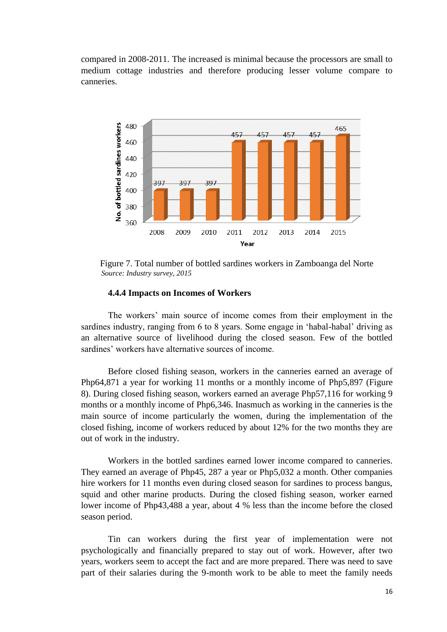compared in 2008-2011. The increased is minimal because the processors are small to medium cottage industries and therefore producing lesser volume compare to canneries.



<span id="page-20-0"></span>Figure 7. Total number of bottled sardines workers in Zamboanga del Norte  *Source: Industry survey, 2015*

### **4.4.4 Impacts on Incomes of Workers**

The workers' main source of income comes from their employment in the sardines industry, ranging from 6 to 8 years. Some engage in 'habal-habal' driving as an alternative source of livelihood during the closed season. Few of the bottled sardines' workers have alternative sources of income.

Before closed fishing season, workers in the canneries earned an average of Php64,871 a year for working 11 months or a monthly income of Php5,897 [\(Figure](#page-21-0)  8). During closed fishing season, workers earned an average Php57,116 for working 9 months or a monthly income of Php6,346. Inasmuch as working in the canneries is the main source of income particularly the women, during the implementation of the closed fishing, income of workers reduced by about 12% for the two months they are out of work in the industry.

Workers in the bottled sardines earned lower income compared to canneries. They earned an average of Php45, 287 a year or Php5,032 a month. Other companies hire workers for 11 months even during closed season for sardines to process bangus, squid and other marine products. During the closed fishing season, worker earned lower income of Php43,488 a year, about 4 % less than the income before the closed season period.

Tin can workers during the first year of implementation were not psychologically and financially prepared to stay out of work. However, after two years, workers seem to accept the fact and are more prepared. There was need to save part of their salaries during the 9-month work to be able to meet the family needs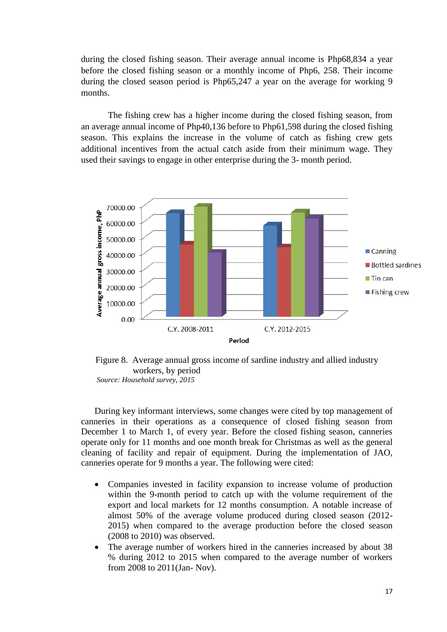during the closed fishing season. Their average annual income is Php68,834 a year before the closed fishing season or a monthly income of Php6, 258. Their income during the closed season period is Php65,247 a year on the average for working 9 months.

The fishing crew has a higher income during the closed fishing season, from an average annual income of Php40,136 before to Php61,598 during the closed fishing season. This explains the increase in the volume of catch as fishing crew gets additional incentives from the actual catch aside from their minimum wage. They used their savings to engage in other enterprise during the 3- month period.



<span id="page-21-0"></span>Figure 8. Average annual gross income of sardine industry and allied industry workers, by period  *Source: Household survey, 2015*

During key informant interviews, some changes were cited by top management of canneries in their operations as a consequence of closed fishing season from December 1 to March 1, of every year. Before the closed fishing season, canneries operate only for 11 months and one month break for Christmas as well as the general cleaning of facility and repair of equipment. During the implementation of JAO, canneries operate for 9 months a year. The following were cited:

- Companies invested in facility expansion to increase volume of production within the 9-month period to catch up with the volume requirement of the export and local markets for 12 months consumption. A notable increase of almost 50% of the average volume produced during closed season (2012- 2015) when compared to the average production before the closed season (2008 to 2010) was observed.
- The average number of workers hired in the canneries increased by about 38 % during 2012 to 2015 when compared to the average number of workers from 2008 to 2011(Jan- Nov).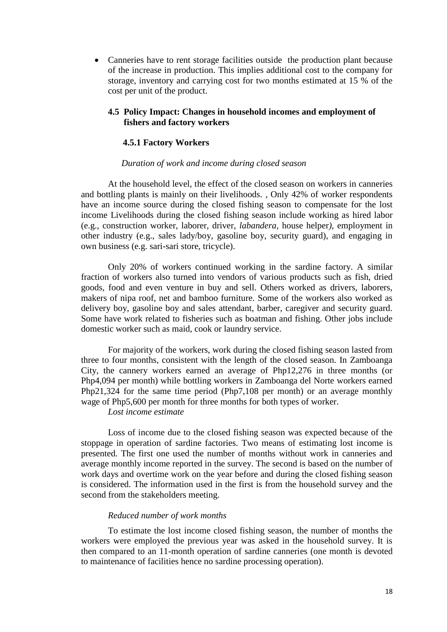Canneries have to rent storage facilities outside the production plant because of the increase in production. This implies additional cost to the company for storage, inventory and carrying cost for two months estimated at 15 % of the cost per unit of the product.

## **4.5 Policy Impact: Changes in household incomes and employment of fishers and factory workers**

#### **4.5.1 Factory Workers**

#### *Duration of work and income during closed season*

At the household level, the effect of the closed season on workers in canneries and bottling plants is mainly on their livelihoods. , Only 42% of worker respondents have an income source during the closed fishing season to compensate for the lost income Livelihoods during the closed fishing season include working as hired labor (e.g., construction worker, laborer, driver, *labandera,* house helper*)*, employment in other industry (e.g., sales lady/boy, gasoline boy, security guard), and engaging in own business (e.g. sari-sari store, tricycle).

Only 20% of workers continued working in the sardine factory. A similar fraction of workers also turned into vendors of various products such as fish, dried goods, food and even venture in buy and sell. Others worked as drivers, laborers, makers of nipa roof, net and bamboo furniture. Some of the workers also worked as delivery boy, gasoline boy and sales attendant, barber, caregiver and security guard. Some have work related to fisheries such as boatman and fishing. Other jobs include domestic worker such as maid, cook or laundry service.

For majority of the workers, work during the closed fishing season lasted from three to four months, consistent with the length of the closed season. In Zamboanga City, the cannery workers earned an average of Php12,276 in three months (or Php4,094 per month) while bottling workers in Zamboanga del Norte workers earned Php21,324 for the same time period (Php7,108 per month) or an average monthly wage of Php5,600 per month for three months for both types of worker.

*Lost income estimate*

Loss of income due to the closed fishing season was expected because of the stoppage in operation of sardine factories. Two means of estimating lost income is presented. The first one used the number of months without work in canneries and average monthly income reported in the survey. The second is based on the number of work days and overtime work on the year before and during the closed fishing season is considered. The information used in the first is from the household survey and the second from the stakeholders meeting.

#### *Reduced number of work months*

To estimate the lost income closed fishing season, the number of months the workers were employed the previous year was asked in the household survey. It is then compared to an 11-month operation of sardine canneries (one month is devoted to maintenance of facilities hence no sardine processing operation).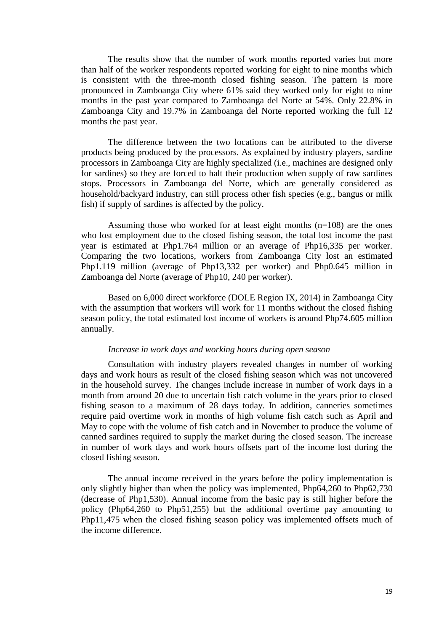The results show that the number of work months reported varies but more than half of the worker respondents reported working for eight to nine months which is consistent with the three-month closed fishing season. The pattern is more pronounced in Zamboanga City where 61% said they worked only for eight to nine months in the past year compared to Zamboanga del Norte at 54%. Only 22.8% in Zamboanga City and 19.7% in Zamboanga del Norte reported working the full 12 months the past year.

The difference between the two locations can be attributed to the diverse products being produced by the processors. As explained by industry players, sardine processors in Zamboanga City are highly specialized (i.e., machines are designed only for sardines) so they are forced to halt their production when supply of raw sardines stops. Processors in Zamboanga del Norte, which are generally considered as household/backyard industry, can still process other fish species (e.g., bangus or milk fish) if supply of sardines is affected by the policy.

Assuming those who worked for at least eight months  $(n=108)$  are the ones who lost employment due to the closed fishing season, the total lost income the past year is estimated at Php1.764 million or an average of Php16,335 per worker. Comparing the two locations, workers from Zamboanga City lost an estimated Php1.119 million (average of Php13,332 per worker) and Php0.645 million in Zamboanga del Norte (average of Php10, 240 per worker).

Based on 6,000 direct workforce (DOLE Region IX, 2014) in Zamboanga City with the assumption that workers will work for 11 months without the closed fishing season policy, the total estimated lost income of workers is around Php74.605 million annually.

#### *Increase in work days and working hours during open season*

Consultation with industry players revealed changes in number of working days and work hours as result of the closed fishing season which was not uncovered in the household survey. The changes include increase in number of work days in a month from around 20 due to uncertain fish catch volume in the years prior to closed fishing season to a maximum of 28 days today. In addition, canneries sometimes require paid overtime work in months of high volume fish catch such as April and May to cope with the volume of fish catch and in November to produce the volume of canned sardines required to supply the market during the closed season. The increase in number of work days and work hours offsets part of the income lost during the closed fishing season.

The annual income received in the years before the policy implementation is only slightly higher than when the policy was implemented, Php64,260 to Php62,730 (decrease of Php1,530). Annual income from the basic pay is still higher before the policy (Php64,260 to Php51,255) but the additional overtime pay amounting to Php11,475 when the closed fishing season policy was implemented offsets much of the income difference.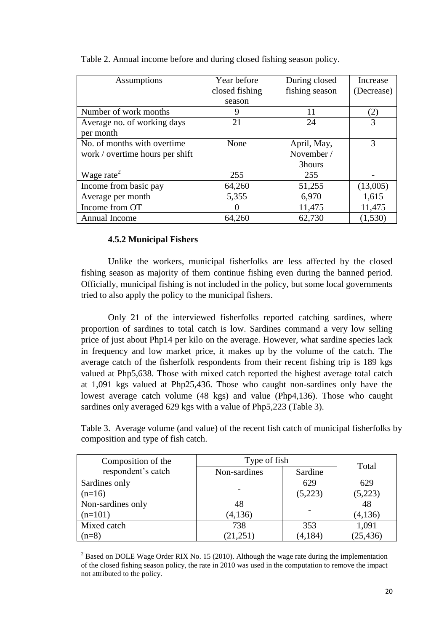| Assumptions                         | Year before    | During closed  | Increase   |
|-------------------------------------|----------------|----------------|------------|
|                                     | closed fishing | fishing season | (Decrease) |
|                                     | season         |                |            |
| Number of work months               | 9              | 11             | (2)        |
| Average no. of working days         | 21             | 24             | 3          |
| per month                           |                |                |            |
| No. of months with overtime.        | None           | April, May,    | 3          |
| work / overtime hours per shift     |                | November /     |            |
|                                     |                | 3hours         |            |
| Wage rate <sup><math>2</math></sup> | 255            | 255            |            |
| Income from basic pay               | 64,260         | 51,255         | (13,005)   |
| Average per month                   | 5,355          | 6,970          | 1,615      |
| Income from OT                      |                | 11,475         | 11,475     |
| Annual Income                       | 64,260         | 62,730         | (1,530)    |

Table 2. Annual income before and during closed fishing season policy.

## **4.5.2 Municipal Fishers**

**.** 

Unlike the workers, municipal fisherfolks are less affected by the closed fishing season as majority of them continue fishing even during the banned period. Officially, municipal fishing is not included in the policy, but some local governments tried to also apply the policy to the municipal fishers.

Only 21 of the interviewed fisherfolks reported catching sardines, where proportion of sardines to total catch is low. Sardines command a very low selling price of just about Php14 per kilo on the average. However, what sardine species lack in frequency and low market price, it makes up by the volume of the catch. The average catch of the fisherfolk respondents from their recent fishing trip is 189 kgs valued at Php5,638. Those with mixed catch reported the highest average total catch at 1,091 kgs valued at Php25,436. Those who caught non-sardines only have the lowest average catch volume (48 kgs) and value (Php4,136). Those who caught sardines only averaged 629 kgs with a value of Php5,223 (Table 3).

Table 3. Average volume (and value) of the recent fish catch of municipal fisherfolks by composition and type of fish catch.

| Composition of the | Type of fish | Total    |           |  |
|--------------------|--------------|----------|-----------|--|
| respondent's catch | Non-sardines | Sardine  |           |  |
| Sardines only      |              | 629      | 629       |  |
| $(n=16)$           |              | (5,223)  | (5,223)   |  |
| Non-sardines only  | 48           |          | 48        |  |
| $(n=101)$          | (4, 136)     |          | (4, 136)  |  |
| Mixed catch        | 738          | 353      | 1,091     |  |
| $(n=8)$            | (21, 251)    | (4, 184) | (25, 436) |  |

<sup>&</sup>lt;sup>2</sup> Based on DOLE Wage Order RIX No. 15 (2010). Although the wage rate during the implementation of the closed fishing season policy, the rate in 2010 was used in the computation to remove the impact not attributed to the policy.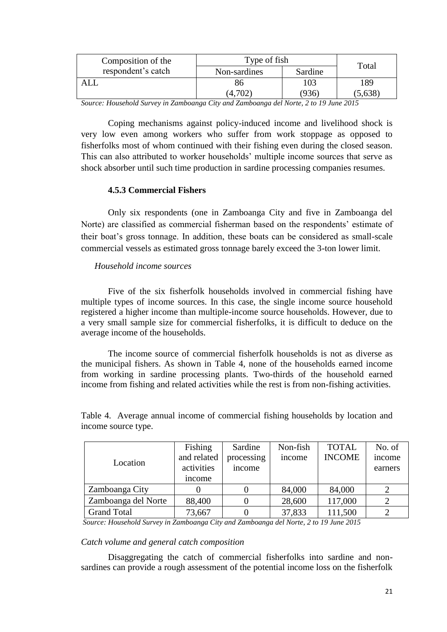| Composition of the                                                         | Type of fish   | Total   |       |
|----------------------------------------------------------------------------|----------------|---------|-------|
| respondent's catch                                                         | Non-sardines   | Sardine |       |
|                                                                            | გი             | 103     | 189   |
|                                                                            | (4,702)        | (936)   | 5,638 |
| $\mathbf{1}$ $\mathbf{1}$ $\mathbf{C}$<br>$\mathbf{r}$<br>$\sim$<br>$\sim$ | $\overline{ }$ | 1111    | 2015  |

*Source: Household Survey in Zamboanga City and Zamboanga del Norte, 2 to 19 June 2015*

Coping mechanisms against policy-induced income and livelihood shock is very low even among workers who suffer from work stoppage as opposed to fisherfolks most of whom continued with their fishing even during the closed season. This can also attributed to worker households' multiple income sources that serve as shock absorber until such time production in sardine processing companies resumes.

## **4.5.3 Commercial Fishers**

Only six respondents (one in Zamboanga City and five in Zamboanga del Norte) are classified as commercial fisherman based on the respondents' estimate of their boat's gross tonnage. In addition, these boats can be considered as small-scale commercial vessels as estimated gross tonnage barely exceed the 3-ton lower limit.

### *Household income sources*

Five of the six fisherfolk households involved in commercial fishing have multiple types of income sources. In this case, the single income source household registered a higher income than multiple-income source households. However, due to a very small sample size for commercial fisherfolks, it is difficult to deduce on the average income of the households.

The income source of commercial fisherfolk households is not as diverse as the municipal fishers. As shown in Table 4, none of the households earned income from working in sardine processing plants. Two-thirds of the household earned income from fishing and related activities while the rest is from non-fishing activities.

| Location            | Fishing<br>and related<br>activities<br>income | Sardine<br>processing<br>income | Non-fish<br>income | <b>TOTAL</b><br><b>INCOME</b> | No. of<br>income<br>earners |
|---------------------|------------------------------------------------|---------------------------------|--------------------|-------------------------------|-----------------------------|
| Zamboanga City      |                                                |                                 | 84,000             | 84,000                        |                             |
| Zamboanga del Norte | 88,400                                         |                                 | 28,600             | 117,000                       |                             |
| <b>Grand Total</b>  | 73,667                                         |                                 | 37,833             | 111,500                       | っ                           |

Table 4. Average annual income of commercial fishing households by location and income source type.

*Source: Household Survey in Zamboanga City and Zamboanga del Norte, 2 to 19 June 2015*

#### *Catch volume and general catch composition*

Disaggregating the catch of commercial fisherfolks into sardine and nonsardines can provide a rough assessment of the potential income loss on the fisherfolk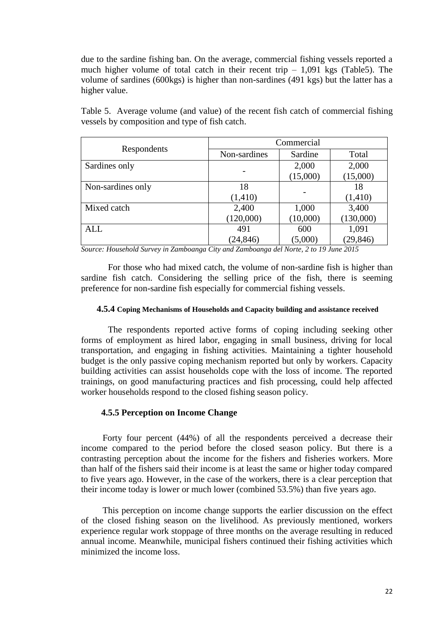due to the sardine fishing ban. On the average, commercial fishing vessels reported a much higher volume of total catch in their recent trip  $-1,091$  kgs [\(Table5](#page-26-0)). The volume of sardines (600kgs) is higher than non-sardines (491 kgs) but the latter has a higher value.

<span id="page-26-0"></span>

|                                                |  |  |  |  | Table 5. Average volume (and value) of the recent fish catch of commercial fishing |  |
|------------------------------------------------|--|--|--|--|------------------------------------------------------------------------------------|--|
| vessels by composition and type of fish catch. |  |  |  |  |                                                                                    |  |

|                   | Commercial   |          |           |  |  |
|-------------------|--------------|----------|-----------|--|--|
| Respondents       | Non-sardines | Sardine  | Total     |  |  |
| Sardines only     |              | 2,000    | 2,000     |  |  |
|                   |              | (15,000) | (15,000)  |  |  |
| Non-sardines only | 18           |          | 18        |  |  |
|                   | (1, 410)     |          | (1, 410)  |  |  |
| Mixed catch       | 2,400        | 1,000    | 3,400     |  |  |
|                   | (120,000)    | (10,000) | (130,000) |  |  |
| <b>ALL</b>        | 491          | 600      | 1,091     |  |  |
|                   | (24, 846)    | (5,000)  | (29, 846) |  |  |

*Source: Household Survey in Zamboanga City and Zamboanga del Norte, 2 to 19 June 2015*

For those who had mixed catch, the volume of non-sardine fish is higher than sardine fish catch. Considering the selling price of the fish, there is seeming preference for non-sardine fish especially for commercial fishing vessels.

#### **4.5.4 Coping Mechanisms of Households and Capacity building and assistance received**

The respondents reported active forms of coping including seeking other forms of employment as hired labor, engaging in small business, driving for local transportation, and engaging in fishing activities. Maintaining a tighter household budget is the only passive coping mechanism reported but only by workers. Capacity building activities can assist households cope with the loss of income. The reported trainings, on good manufacturing practices and fish processing, could help affected worker households respond to the closed fishing season policy.

#### **4.5.5 Perception on Income Change**

Forty four percent (44%) of all the respondents perceived a decrease their income compared to the period before the closed season policy. But there is a contrasting perception about the income for the fishers and fisheries workers. More than half of the fishers said their income is at least the same or higher today compared to five years ago. However, in the case of the workers, there is a clear perception that their income today is lower or much lower (combined 53.5%) than five years ago.

This perception on income change supports the earlier discussion on the effect of the closed fishing season on the livelihood. As previously mentioned, workers experience regular work stoppage of three months on the average resulting in reduced annual income. Meanwhile, municipal fishers continued their fishing activities which minimized the income loss.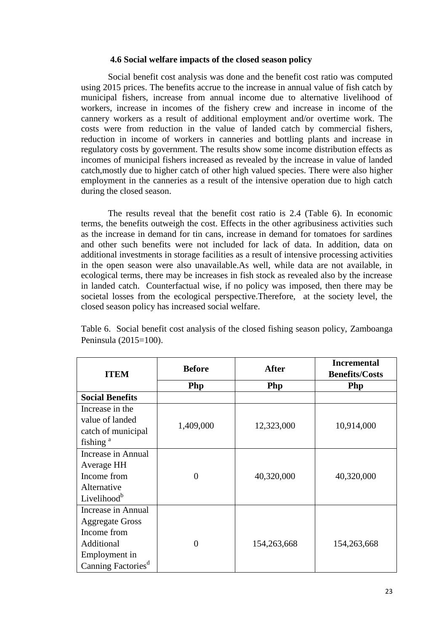#### **4.6 Social welfare impacts of the closed season policy**

Social benefit cost analysis was done and the benefit cost ratio was computed using 2015 prices. The benefits accrue to the increase in annual value of fish catch by municipal fishers, increase from annual income due to alternative livelihood of workers, increase in incomes of the fishery crew and increase in income of the cannery workers as a result of additional employment and/or overtime work. The costs were from reduction in the value of landed catch by commercial fishers, reduction in income of workers in canneries and bottling plants and increase in regulatory costs by government. The results show some income distribution effects as incomes of municipal fishers increased as revealed by the increase in value of landed catch,mostly due to higher catch of other high valued species. There were also higher employment in the canneries as a result of the intensive operation due to high catch during the closed season.

The results reveal that the benefit cost ratio is 2.4 (Table 6). In economic terms, the benefits outweigh the cost. Effects in the other agribusiness activities such as the increase in demand for tin cans, increase in demand for tomatoes for sardines and other such benefits were not included for lack of data. In addition, data on additional investments in storage facilities as a result of intensive processing activities in the open season were also unavailable.As well, while data are not available, in ecological terms, there may be increases in fish stock as revealed also by the increase in landed catch. Counterfactual wise, if no policy was imposed, then there may be societal losses from the ecological perspective.Therefore, at the society level, the closed season policy has increased social welfare.

|                                | <b>Before</b><br><b>After</b> |             | <b>Incremental</b>    |  |
|--------------------------------|-------------------------------|-------------|-----------------------|--|
| <b>ITEM</b>                    |                               |             | <b>Benefits/Costs</b> |  |
|                                | Php                           | <b>Php</b>  | <b>Php</b>            |  |
| <b>Social Benefits</b>         |                               |             |                       |  |
| Increase in the                |                               |             |                       |  |
| value of landed                | 1,409,000                     |             |                       |  |
| catch of municipal             |                               | 12,323,000  | 10,914,000            |  |
| fishing <sup>a</sup>           |                               |             |                       |  |
| Increase in Annual             |                               |             |                       |  |
| Average HH                     |                               |             |                       |  |
| Income from                    | $\overline{0}$                | 40,320,000  | 40,320,000            |  |
| Alternative                    |                               |             |                       |  |
| Livelihood <sup>b</sup>        |                               |             |                       |  |
| Increase in Annual             |                               |             |                       |  |
| <b>Aggregate Gross</b>         |                               |             |                       |  |
| Income from                    |                               |             |                       |  |
| Additional                     | $\theta$                      | 154,263,668 | 154,263,668           |  |
| Employment in                  |                               |             |                       |  |
| Canning Factories <sup>d</sup> |                               |             |                       |  |

Table 6. Social benefit cost analysis of the closed fishing season policy, Zamboanga Peninsula (2015=100).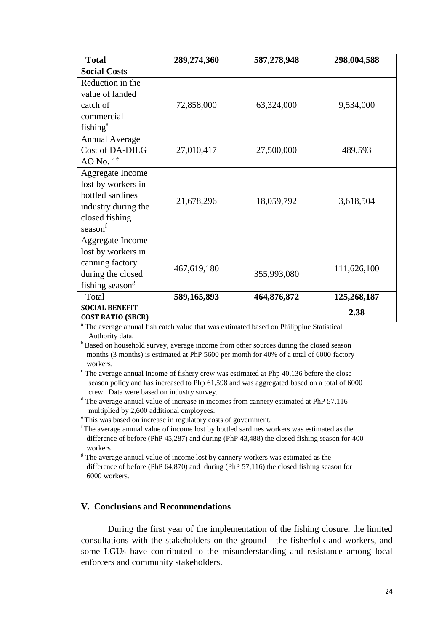| <b>Total</b>                | 289,274,360 | 587,278,948 | 298,004,588 |
|-----------------------------|-------------|-------------|-------------|
| <b>Social Costs</b>         |             |             |             |
| Reduction in the            |             |             |             |
| value of landed             |             |             |             |
| catch of                    | 72,858,000  | 63,324,000  | 9,534,000   |
| commercial                  |             |             |             |
| fishing <sup>a</sup>        |             |             |             |
| <b>Annual Average</b>       |             |             |             |
| Cost of DA-DILG             | 27,010,417  | 27,500,000  | 489,593     |
| AO No. $1e$                 |             |             |             |
| Aggregate Income            |             |             |             |
| lost by workers in          |             |             |             |
| bottled sardines            | 21,678,296  | 18,059,792  | 3,618,504   |
| industry during the         |             |             |             |
| closed fishing              |             |             |             |
| season                      |             |             |             |
| Aggregate Income            |             |             |             |
| lost by workers in          |             |             |             |
| canning factory             | 467,619,180 | 355,993,080 | 111,626,100 |
| during the closed           |             |             |             |
| fishing season <sup>g</sup> |             |             |             |
| Total                       | 589,165,893 | 464,876,872 | 125,268,187 |
| <b>SOCIAL BENEFIT</b>       |             |             | 2.38        |
| <b>COST RATIO (SBCR)</b>    |             |             |             |

<sup>a</sup> The average annual fish catch value that was estimated based on Philippine Statistical Authority data.

<sup>b</sup>Based on household survey, average income from other sources during the closed season months (3 months) is estimated at PhP 5600 per month for 40% of a total of 6000 factory workers.

 $\degree$  The average annual income of fishery crew was estimated at Php 40,136 before the close season policy and has increased to Php 61,598 and was aggregated based on a total of 6000 crew. Data were based on industry survey.

d The average annual value of increase in incomes from cannery estimated at PhP 57,116 multiplied by 2,600 additional employees.

<sup>e</sup>This was based on increase in regulatory costs of government.

<sup>f</sup>The average annual value of income lost by bottled sardines workers was estimated as the difference of before (PhP 45,287) and during (PhP 43,488) the closed fishing season for 400 workers

 $\frac{g}{g}$ . The average annual value of income lost by cannery workers was estimated as the difference of before (PhP 64,870) and during (PhP 57,116) the closed fishing season for 6000 workers.

## **V. Conclusions and Recommendations**

During the first year of the implementation of the fishing closure, the limited consultations with the stakeholders on the ground - the fisherfolk and workers, and some LGUs have contributed to the misunderstanding and resistance among local enforcers and community stakeholders.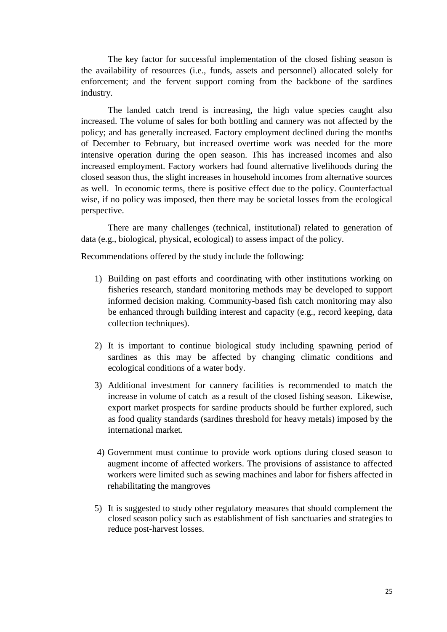The key factor for successful implementation of the closed fishing season is the availability of resources (i.e., funds, assets and personnel) allocated solely for enforcement; and the fervent support coming from the backbone of the sardines industry.

The landed catch trend is increasing, the high value species caught also increased. The volume of sales for both bottling and cannery was not affected by the policy; and has generally increased. Factory employment declined during the months of December to February, but increased overtime work was needed for the more intensive operation during the open season. This has increased incomes and also increased employment. Factory workers had found alternative livelihoods during the closed season thus, the slight increases in household incomes from alternative sources as well. In economic terms, there is positive effect due to the policy. Counterfactual wise, if no policy was imposed, then there may be societal losses from the ecological perspective.

There are many challenges (technical, institutional) related to generation of data (e.g., biological, physical, ecological) to assess impact of the policy.

Recommendations offered by the study include the following:

- 1) Building on past efforts and coordinating with other institutions working on fisheries research, standard monitoring methods may be developed to support informed decision making. Community-based fish catch monitoring may also be enhanced through building interest and capacity (e.g., record keeping, data collection techniques).
- 2) It is important to continue biological study including spawning period of sardines as this may be affected by changing climatic conditions and ecological conditions of a water body.
- 3) Additional investment for cannery facilities is recommended to match the increase in volume of catch as a result of the closed fishing season. Likewise, export market prospects for sardine products should be further explored, such as food quality standards (sardines threshold for heavy metals) imposed by the international market.
- 4) Government must continue to provide work options during closed season to augment income of affected workers. The provisions of assistance to affected workers were limited such as sewing machines and labor for fishers affected in rehabilitating the mangroves
- 5) It is suggested to study other regulatory measures that should complement the closed season policy such as establishment of fish sanctuaries and strategies to reduce post-harvest losses.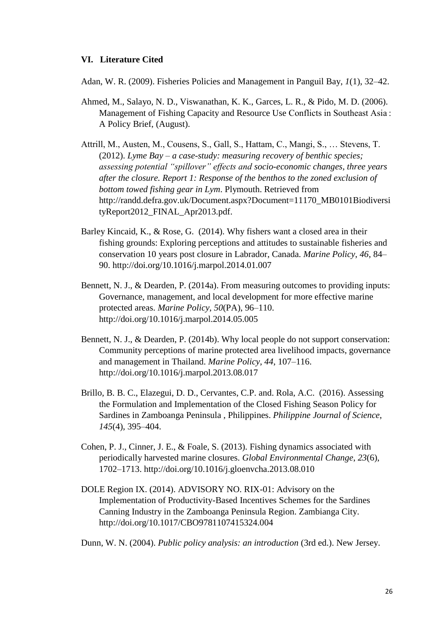## **VI. Literature Cited**

Adan, W. R. (2009). Fisheries Policies and Management in Panguil Bay, *1*(1), 32–42.

- Ahmed, M., Salayo, N. D., Viswanathan, K. K., Garces, L. R., & Pido, M. D. (2006). Management of Fishing Capacity and Resource Use Conflicts in Southeast Asia : A Policy Brief, (August).
- Attrill, M., Austen, M., Cousens, S., Gall, S., Hattam, C., Mangi, S., … Stevens, T. (2012). *Lyme Bay – a case-study: measuring recovery of benthic species; assessing potential "spillover" effects and socio-economic changes, three years after the closure. Report 1: Response of the benthos to the zoned exclusion of bottom towed fishing gear in Lym*. Plymouth. Retrieved from http://randd.defra.gov.uk/Document.aspx?Document=11170\_MB0101Biodiversi tyReport2012\_FINAL\_Apr2013.pdf.
- Barley Kincaid, K., & Rose, G. (2014). Why fishers want a closed area in their fishing grounds: Exploring perceptions and attitudes to sustainable fisheries and conservation 10 years post closure in Labrador, Canada. *Marine Policy*, *46*, 84– 90. http://doi.org/10.1016/j.marpol.2014.01.007
- Bennett, N. J., & Dearden, P. (2014a). From measuring outcomes to providing inputs: Governance, management, and local development for more effective marine protected areas. *Marine Policy*, *50*(PA), 96–110. http://doi.org/10.1016/j.marpol.2014.05.005
- Bennett, N. J., & Dearden, P. (2014b). Why local people do not support conservation: Community perceptions of marine protected area livelihood impacts, governance and management in Thailand. *Marine Policy*, *44*, 107–116. http://doi.org/10.1016/j.marpol.2013.08.017
- Brillo, B. B. C., Elazegui, D. D., Cervantes, C.P. and. Rola, A.C. (2016). Assessing the Formulation and Implementation of the Closed Fishing Season Policy for Sardines in Zamboanga Peninsula , Philippines. *Philippine Journal of Science*, *145*(4), 395–404.
- Cohen, P. J., Cinner, J. E., & Foale, S. (2013). Fishing dynamics associated with periodically harvested marine closures. *Global Environmental Change*, *23*(6), 1702–1713. http://doi.org/10.1016/j.gloenvcha.2013.08.010
- DOLE Region IX. (2014). ADVISORY NO. RIX-01: Advisory on the Implementation of Productivity-Based Incentives Schemes for the Sardines Canning Industry in the Zamboanga Peninsula Region. Zambianga City. http://doi.org/10.1017/CBO9781107415324.004

Dunn, W. N. (2004). *Public policy analysis: an introduction* (3rd ed.). New Jersey.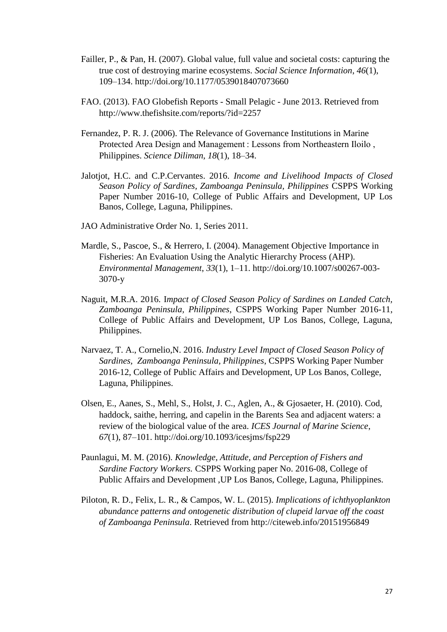- Failler, P., & Pan, H. (2007). Global value, full value and societal costs: capturing the true cost of destroying marine ecosystems. *Social Science Information*, *46*(1), 109–134. http://doi.org/10.1177/0539018407073660
- FAO. (2013). FAO Globefish Reports Small Pelagic June 2013. Retrieved from http://www.thefishsite.com/reports/?id=2257
- Fernandez, P. R. J. (2006). The Relevance of Governance Institutions in Marine Protected Area Design and Management : Lessons from Northeastern Iloilo , Philippines. *Science Diliman*, *18*(1), 18–34.
- Jalotjot, H.C. and C.P.Cervantes. 2016. *Income and Livelihood Impacts of Closed Season Policy of Sardines, Zamboanga Peninsula, Philippines* CSPPS Working Paper Number 2016-10, College of Public Affairs and Development, UP Los Banos, College, Laguna, Philippines.
- JAO Administrative Order No. 1, Series 2011.
- Mardle, S., Pascoe, S., & Herrero, I. (2004). Management Objective Importance in Fisheries: An Evaluation Using the Analytic Hierarchy Process (AHP). *Environmental Management*, *33*(1), 1–11. http://doi.org/10.1007/s00267-003- 3070-y
- Naguit, M.R.A. 2016. I*mpact of Closed Season Policy of Sardines on Landed Catch, Zamboanga Peninsula, Philippines*, CSPPS Working Paper Number 2016-11, College of Public Affairs and Development, UP Los Banos, College, Laguna, Philippines.
- Narvaez, T. A., Cornelio,N. 2016. *Industry Level Impact of Closed Season Policy of Sardines, Zamboanga Peninsula, Philippines*, CSPPS Working Paper Number 2016-12, College of Public Affairs and Development, UP Los Banos, College, Laguna, Philippines.
- Olsen, E., Aanes, S., Mehl, S., Holst, J. C., Aglen, A., & Gjosaeter, H. (2010). Cod, haddock, saithe, herring, and capelin in the Barents Sea and adjacent waters: a review of the biological value of the area. *ICES Journal of Marine Science*, *67*(1), 87–101. http://doi.org/10.1093/icesjms/fsp229
- Paunlagui, M. M. (2016). *Knowledge, Attitude, and Perception of Fishers and Sardine Factory Workers.* CSPPS Working paper No. 2016-08, College of Public Affairs and Development ,UP Los Banos, College, Laguna, Philippines.
- Piloton, R. D., Felix, L. R., & Campos, W. L. (2015). *Implications of ichthyoplankton abundance patterns and ontogenetic distribution of clupeid larvae off the coast of Zamboanga Peninsula*. Retrieved from http://citeweb.info/20151956849